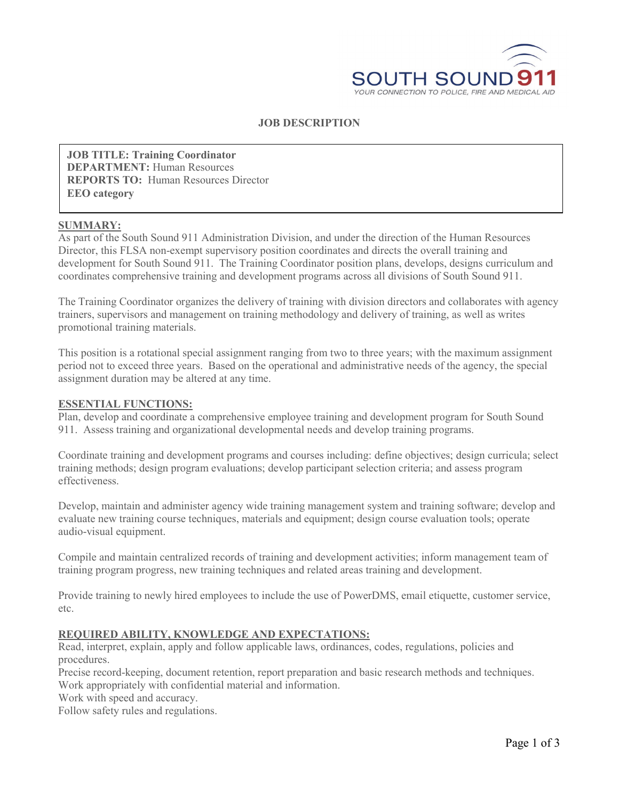

## **JOB DESCRIPTION**

**JOB TITLE: Training Coordinator DEPARTMENT:** Human Resources **REPORTS TO:** Human Resources Director **EEO category**

#### **SUMMARY:**

As part of the South Sound 911 Administration Division, and under the direction of the Human Resources Director, this FLSA non-exempt supervisory position coordinates and directs the overall training and development for South Sound 911. The Training Coordinator position plans, develops, designs curriculum and coordinates comprehensive training and development programs across all divisions of South Sound 911.

The Training Coordinator organizes the delivery of training with division directors and collaborates with agency trainers, supervisors and management on training methodology and delivery of training, as well as writes promotional training materials.

This position is a rotational special assignment ranging from two to three years; with the maximum assignment period not to exceed three years. Based on the operational and administrative needs of the agency, the special assignment duration may be altered at any time.

#### **ESSENTIAL FUNCTIONS:**

Plan, develop and coordinate a comprehensive employee training and development program for South Sound 911. Assess training and organizational developmental needs and develop training programs.

Coordinate training and development programs and courses including: define objectives; design curricula; select training methods; design program evaluations; develop participant selection criteria; and assess program effectiveness.

Develop, maintain and administer agency wide training management system and training software; develop and evaluate new training course techniques, materials and equipment; design course evaluation tools; operate audio-visual equipment.

Compile and maintain centralized records of training and development activities; inform management team of training program progress, new training techniques and related areas training and development.

Provide training to newly hired employees to include the use of PowerDMS, email etiquette, customer service, etc.

### **REQUIRED ABILITY, KNOWLEDGE AND EXPECTATIONS:**

Read, interpret, explain, apply and follow applicable laws, ordinances, codes, regulations, policies and procedures.

Precise record-keeping, document retention, report preparation and basic research methods and techniques. Work appropriately with confidential material and information.

Work with speed and accuracy.

Follow safety rules and regulations.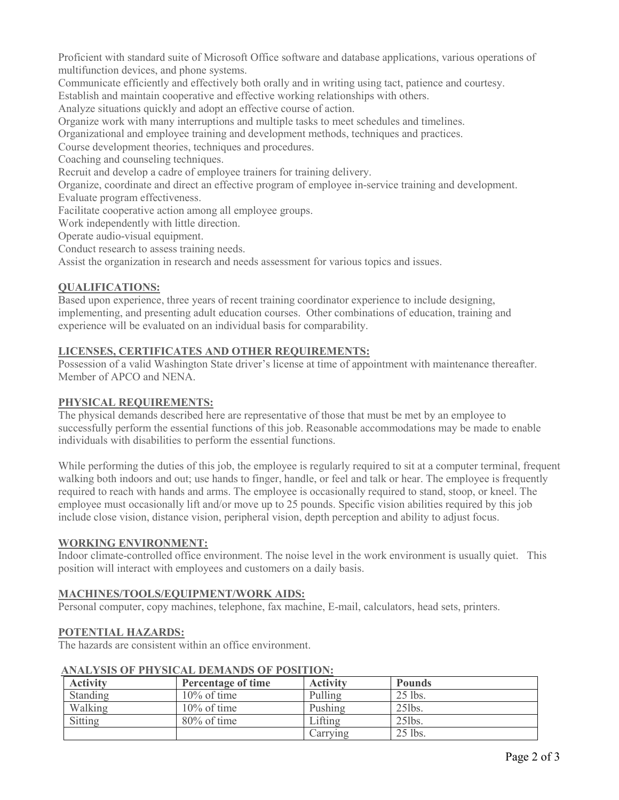Proficient with standard suite of Microsoft Office software and database applications, various operations of multifunction devices, and phone systems.

Communicate efficiently and effectively both orally and in writing using tact, patience and courtesy.

Establish and maintain cooperative and effective working relationships with others.

Analyze situations quickly and adopt an effective course of action.

Organize work with many interruptions and multiple tasks to meet schedules and timelines.

Organizational and employee training and development methods, techniques and practices.

Course development theories, techniques and procedures.

Coaching and counseling techniques.

Recruit and develop a cadre of employee trainers for training delivery.

Organize, coordinate and direct an effective program of employee in-service training and development.

Evaluate program effectiveness.

Facilitate cooperative action among all employee groups.

Work independently with little direction.

Operate audio-visual equipment.

Conduct research to assess training needs.

Assist the organization in research and needs assessment for various topics and issues.

# **QUALIFICATIONS:**

Based upon experience, three years of recent training coordinator experience to include designing, implementing, and presenting adult education courses. Other combinations of education, training and experience will be evaluated on an individual basis for comparability.

# **LICENSES, CERTIFICATES AND OTHER REQUIREMENTS:**

Possession of a valid Washington State driver's license at time of appointment with maintenance thereafter. Member of APCO and NENA.

## **PHYSICAL REQUIREMENTS:**

The physical demands described here are representative of those that must be met by an employee to successfully perform the essential functions of this job. Reasonable accommodations may be made to enable individuals with disabilities to perform the essential functions.

While performing the duties of this job, the employee is regularly required to sit at a computer terminal, frequent walking both indoors and out; use hands to finger, handle, or feel and talk or hear. The employee is frequently required to reach with hands and arms. The employee is occasionally required to stand, stoop, or kneel. The employee must occasionally lift and/or move up to 25 pounds. Specific vision abilities required by this job include close vision, distance vision, peripheral vision, depth perception and ability to adjust focus.

### **WORKING ENVIRONMENT:**

Indoor climate-controlled office environment. The noise level in the work environment is usually quiet. This position will interact with employees and customers on a daily basis.

# **MACHINES/TOOLS/EQUIPMENT/WORK AIDS:**

Personal computer, copy machines, telephone, fax machine, E-mail, calculators, head sets, printers.

### **POTENTIAL HAZARDS:**

The hazards are consistent within an office environment.

### **ANALYSIS OF PHYSICAL DEMANDS OF POSITION:**

| <b>Activity</b> | Percentage of time | <b>Activity</b> | <b>Pounds</b> |
|-----------------|--------------------|-----------------|---------------|
| Standing        | $10\%$ of time     | Pulling         | $25$ lbs.     |
| Walking         | $10\%$ of time     | Pushing         | $25$ lbs.     |
| Sitting         | $80\%$ of time     | Lifting         | $25$ lbs.     |
|                 |                    | Carrying        | $25$ lbs.     |